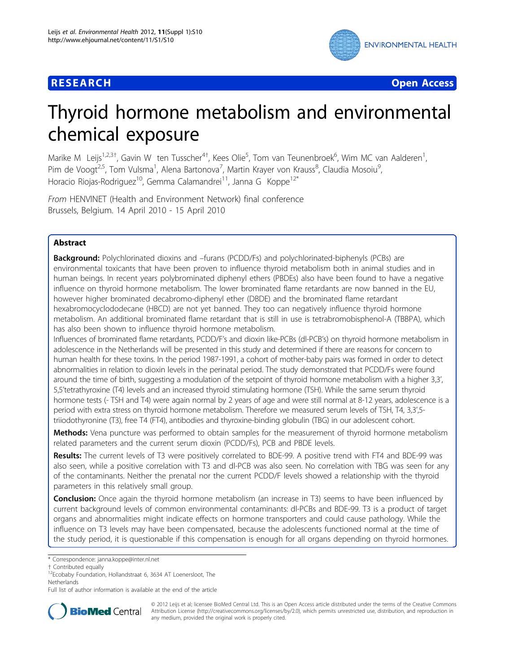

**RESEARCH CONTROL** CONTROL CONTROL CONTROL CONTROL CONTROL CONTROL CONTROL CONTROL CONTROL CONTROL CONTROL CONTROL CONTROL CONTROL CONTROL CONTROL CONTROL CONTROL CONTROL CONTROL CONTROL CONTROL CONTROL CONTROL CONTROL CON

# Thyroid hormone metabolism and environmental chemical exposure

Marike M Leijs<sup>1,2,3†</sup>, Gavin W ten Tusscher<sup>4†</sup>, Kees Olie<sup>5</sup>, Tom van Teunenbroek<sup>6</sup>, Wim MC van Aalderen<sup>1</sup> , Pim de Voogt<sup>2,5</sup>, Tom Vulsma<sup>1</sup>, Alena Bartonova<sup>7</sup>, Martin Krayer von Krauss<sup>8</sup>, Claudia Mosoiu<sup>9</sup> , Horacio Riojas-Rodriguez<sup>10</sup>, Gemma Calamandrei<sup>11</sup>, Janna G Koppe<sup>12\*</sup>

From HENVINET (Health and Environment Network) final conference Brussels, Belgium. 14 April 2010 - 15 April 2010

# Abstract

Background: Polychlorinated dioxins and –furans (PCDD/Fs) and polychlorinated-biphenyls (PCBs) are environmental toxicants that have been proven to influence thyroid metabolism both in animal studies and in human beings. In recent years polybrominated diphenyl ethers (PBDEs) also have been found to have a negative influence on thyroid hormone metabolism. The lower brominated flame retardants are now banned in the EU, however higher brominated decabromo-diphenyl ether (DBDE) and the brominated flame retardant hexabromocyclododecane (HBCD) are not yet banned. They too can negatively influence thyroid hormone metabolism. An additional brominated flame retardant that is still in use is tetrabromobisphenol-A (TBBPA), which has also been shown to influence thyroid hormone metabolism.

Influences of brominated flame retardants, PCDD/F's and dioxin like-PCBs (dl-PCB's) on thyroid hormone metabolism in adolescence in the Netherlands will be presented in this study and determined if there are reasons for concern to human health for these toxins. In the period 1987-1991, a cohort of mother-baby pairs was formed in order to detect abnormalities in relation to dioxin levels in the perinatal period. The study demonstrated that PCDD/Fs were found around the time of birth, suggesting a modulation of the setpoint of thyroid hormone metabolism with a higher 3,3', 5,5'tetrathyroxine (T4) levels and an increased thyroid stimulating hormone (TSH). While the same serum thyroid hormone tests (- TSH and T4) were again normal by 2 years of age and were still normal at 8-12 years, adolescence is a period with extra stress on thyroid hormone metabolism. Therefore we measured serum levels of TSH, T4, 3,3',5triiodothyronine (T3), free T4 (FT4), antibodies and thyroxine-binding globulin (TBG) in our adolescent cohort.

Methods: Vena puncture was performed to obtain samples for the measurement of thyroid hormone metabolism related parameters and the current serum dioxin (PCDD/Fs), PCB and PBDE levels.

Results: The current levels of T3 were positively correlated to BDE-99. A positive trend with FT4 and BDE-99 was also seen, while a positive correlation with T3 and dl-PCB was also seen. No correlation with TBG was seen for any of the contaminants. Neither the prenatal nor the current PCDD/F levels showed a relationship with the thyroid parameters in this relatively small group.

Conclusion: Once again the thyroid hormone metabolism (an increase in T3) seems to have been influenced by current background levels of common environmental contaminants: dl-PCBs and BDE-99. T3 is a product of target organs and abnormalities might indicate effects on hormone transporters and could cause pathology. While the influence on T3 levels may have been compensated, because the adolescents functioned normal at the time of the study period, it is questionable if this compensation is enough for all organs depending on thyroid hormones.

Full list of author information is available at the end of the article



© 2012 Leijs et al; licensee BioMed Central Ltd. This is an Open Access article distributed under the terms of the Creative Commons Attribution License [\(http://creativecommons.org/licenses/by/2.0](http://creativecommons.org/licenses/by/2.0)), which permits unrestricted use, distribution, and reproduction in any medium, provided the original work is properly cited.

<sup>\*</sup> Correspondence: [janna.koppe@inter.nl.net](mailto:janna.koppe@inter.nl.net)

 $12$ Ecobaby Foundation, Hollandstraat 6, 3634 AT Loenersloot, The Netherlands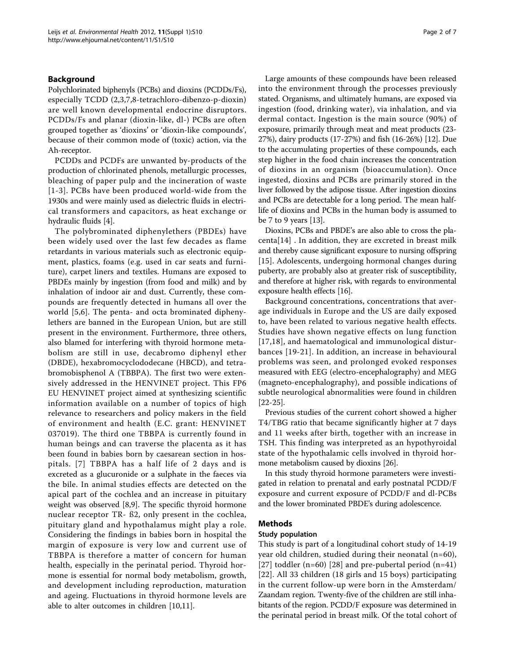# Background

Polychlorinated biphenyls (PCBs) and dioxins (PCDDs/Fs), especially TCDD (2,3,7,8-tetrachloro-dibenzo-p-dioxin) are well known developmental endocrine disruptors. PCDDs/Fs and planar (dioxin-like, dl-) PCBs are often grouped together as 'dioxins' or 'dioxin-like compounds', because of their common mode of (toxic) action, via the Ah-receptor.

PCDDs and PCDFs are unwanted by-products of the production of chlorinated phenols, metallurgic processes, bleaching of paper pulp and the incineration of waste [[1](#page-5-0)-[3\]](#page-5-0). PCBs have been produced world-wide from the 1930s and were mainly used as dielectric fluids in electrical transformers and capacitors, as heat exchange or hydraulic fluids [\[4\]](#page-5-0).

The polybrominated diphenylethers (PBDEs) have been widely used over the last few decades as flame retardants in various materials such as electronic equipment, plastics, foams (e.g. used in car seats and furniture), carpet liners and textiles. Humans are exposed to PBDEs mainly by ingestion (from food and milk) and by inhalation of indoor air and dust. Currently, these compounds are frequently detected in humans all over the world [[5,6](#page-5-0)]. The penta- and octa brominated diphenylethers are banned in the European Union, but are still present in the environment. Furthermore, three others, also blamed for interfering with thyroid hormone metabolism are still in use, decabromo diphenyl ether (DBDE), hexabromocyclododecane (HBCD), and tetrabromobisphenol A (TBBPA). The first two were extensively addressed in the HENVINET project. This FP6 EU HENVINET project aimed at synthesizing scientific information available on a number of topics of high relevance to researchers and policy makers in the field of environment and health (E.C. grant: HENVINET 037019). The third one TBBPA is currently found in human beings and can traverse the placenta as it has been found in babies born by caesarean section in hospitals. [[7\]](#page-5-0) TBBPA has a half life of 2 days and is excreted as a glucuronide or a sulphate in the faeces via the bile. In animal studies effects are detected on the apical part of the cochlea and an increase in pituitary weight was observed [[8,9](#page-6-0)]. The specific thyroid hormone nuclear receptor TR- ß2, only present in the cochlea, pituitary gland and hypothalamus might play a role. Considering the findings in babies born in hospital the margin of exposure is very low and current use of TBBPA is therefore a matter of concern for human health, especially in the perinatal period. Thyroid hormone is essential for normal body metabolism, growth, and development including reproduction, maturation and ageing. Fluctuations in thyroid hormone levels are able to alter outcomes in children [[10](#page-6-0),[11](#page-6-0)].

Large amounts of these compounds have been released into the environment through the processes previously stated. Organisms, and ultimately humans, are exposed via ingestion (food, drinking water), via inhalation, and via dermal contact. Ingestion is the main source (90%) of exposure, primarily through meat and meat products (23- 27%), dairy products (17-27%) and fish (16-26%) [\[12\]](#page-6-0). Due to the accumulating properties of these compounds, each step higher in the food chain increases the concentration of dioxins in an organism (bioaccumulation). Once ingested, dioxins and PCBs are primarily stored in the liver followed by the adipose tissue. After ingestion dioxins and PCBs are detectable for a long period. The mean halflife of dioxins and PCBs in the human body is assumed to be 7 to 9 years [\[13\]](#page-6-0).

Dioxins, PCBs and PBDE's are also able to cross the placenta[[14\]](#page-6-0) . In addition, they are excreted in breast milk and thereby cause significant exposure to nursing offspring [[15\]](#page-6-0). Adolescents, undergoing hormonal changes during puberty, are probably also at greater risk of susceptibility, and therefore at higher risk, with regards to environmental exposure health effects [\[16\]](#page-6-0).

Background concentrations, concentrations that average individuals in Europe and the US are daily exposed to, have been related to various negative health effects. Studies have shown negative effects on lung function [[17](#page-6-0),[18\]](#page-6-0), and haematological and immunological disturbances [[19](#page-6-0)-[21](#page-6-0)]. In addition, an increase in behavioural problems was seen, and prolonged evoked responses measured with EEG (electro-encephalography) and MEG (magneto-encephalography), and possible indications of subtle neurological abnormalities were found in children [[22-25\]](#page-6-0).

Previous studies of the current cohort showed a higher T4/TBG ratio that became significantly higher at 7 days and 11 weeks after birth, together with an increase in TSH. This finding was interpreted as an hypothyroidal state of the hypothalamic cells involved in thyroid hormone metabolism caused by dioxins [[26](#page-6-0)].

In this study thyroid hormone parameters were investigated in relation to prenatal and early postnatal PCDD/F exposure and current exposure of PCDD/F and dl-PCBs and the lower brominated PBDE's during adolescence.

# Methods

### Study population

This study is part of a longitudinal cohort study of 14-19 year old children, studied during their neonatal (n=60), [[27](#page-6-0)] toddler  $(n=60)$  [\[28](#page-6-0)] and pre-pubertal period  $(n=41)$ [[22](#page-6-0)]. All 33 children (18 girls and 15 boys) participating in the current follow-up were born in the Amsterdam/ Zaandam region. Twenty-five of the children are still inhabitants of the region. PCDD/F exposure was determined in the perinatal period in breast milk. Of the total cohort of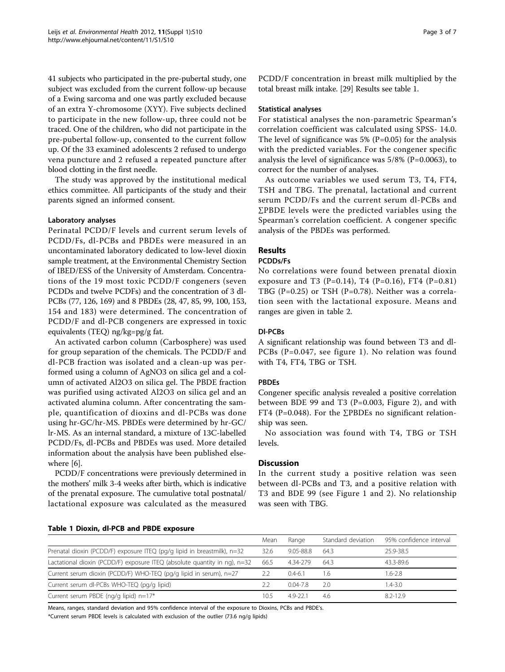41 subjects who participated in the pre-pubertal study, one subject was excluded from the current follow-up because of a Ewing sarcoma and one was partly excluded because of an extra Y-chromosome (XYY). Five subjects declined to participate in the new follow-up, three could not be traced. One of the children, who did not participate in the pre-pubertal follow-up, consented to the current follow up. Of the 33 examined adolescents 2 refused to undergo vena puncture and 2 refused a repeated puncture after blood clotting in the first needle.

The study was approved by the institutional medical ethics committee. All participants of the study and their parents signed an informed consent.

### Laboratory analyses

Perinatal PCDD/F levels and current serum levels of PCDD/Fs, dl-PCBs and PBDEs were measured in an uncontaminated laboratory dedicated to low-level dioxin sample treatment, at the Environmental Chemistry Section of IBED/ESS of the University of Amsterdam. Concentrations of the 19 most toxic PCDD/F congeners (seven PCDDs and twelve PCDFs) and the concentration of 3 dl-PCBs (77, 126, 169) and 8 PBDEs (28, 47, 85, 99, 100, 153, 154 and 183) were determined. The concentration of PCDD/F and dl-PCB congeners are expressed in toxic equivalents (TEQ) ng/kg=pg/g fat.

An activated carbon column (Carbosphere) was used for group separation of the chemicals. The PCDD/F and dl-PCB fraction was isolated and a clean-up was performed using a column of AgNO3 on silica gel and a column of activated Al2O3 on silica gel. The PBDE fraction was purified using activated Al2O3 on silica gel and an activated alumina column. After concentrating the sample, quantification of dioxins and dl-PCBs was done using hr-GC/hr-MS. PBDEs were determined by hr-GC/ lr-MS. As an internal standard, a mixture of 13C-labelled PCDD/Fs, dl-PCBs and PBDEs was used. More detailed information about the analysis have been published elsewhere [\[6\]](#page-5-0).

PCDD/F concentrations were previously determined in the mothers' milk 3-4 weeks after birth, which is indicative of the prenatal exposure. The cumulative total postnatal/ lactational exposure was calculated as the measured Page 3 of 7

PCDD/F concentration in breast milk multiplied by the total breast milk intake. [\[29\]](#page-6-0) Results see table 1.

### Statistical analyses

For statistical analyses the non-parametric Spearman's correlation coefficient was calculated using SPSS- 14.0. The level of significance was  $5\%$  (P=0.05) for the analysis with the predicted variables. For the congener specific analysis the level of significance was 5/8% (P=0.0063), to correct for the number of analyses.

As outcome variables we used serum T3, T4, FT4, TSH and TBG. The prenatal, lactational and current serum PCDD/Fs and the current serum dl-PCBs and ∑PBDE levels were the predicted variables using the Spearman's correlation coefficient. A congener specific analysis of the PBDEs was performed.

### Results

# PCDDs/Fs

No correlations were found between prenatal dioxin exposure and T3 (P=0.14), T4 (P=0.16), FT4 (P=0.81) TBG (P=0.25) or TSH (P=0.78). Neither was a correlation seen with the lactational exposure. Means and ranges are given in table [2](#page-3-0).

### Dl-PCBs

A significant relationship was found between T3 and dl-PCBs (P=0.047, see figure [1\)](#page-3-0). No relation was found with T4, FT4, TBG or TSH.

### PBDEs

Congener specific analysis revealed a positive correlation between BDE 99 and T3 (P=0.003, Figure [2\)](#page-4-0), and with FT4 (P=0.048). For the  $\Sigma$ PBDEs no significant relationship was seen.

No association was found with T4, TBG or TSH levels.

# **Discussion**

In the current study a positive relation was seen between dl-PCBs and T3, and a positive relation with T3 and BDE 99 (see Figure [1](#page-3-0) and [2](#page-4-0)). No relationship was seen with TBG.

|  |  |  |  |  |  | Table 1 Dioxin, dl-PCB and PBDE exposure |
|--|--|--|--|--|--|------------------------------------------|
|--|--|--|--|--|--|------------------------------------------|

|                                                                                | Mean | Range        | Standard deviation | 95% confidence interval |
|--------------------------------------------------------------------------------|------|--------------|--------------------|-------------------------|
| Prenatal dioxin (PCDD/F) exposure ITEQ (pg/g lipid in breastmilk), n=32        | 32.6 | 9.05-88.8    | 64.3               | 25.9-38.5               |
| Lactational dioxin (PCDD/F) exposure ITEQ (absolute quantity in $nq$ ), $n=32$ | 66.5 | 4.34-279     | 64.3               | 43.3-89.6               |
| Current serum dioxin (PCDD/F) WHO-TEQ (pg/g lipid in serum), n=27              | 22   | $0.4 - 6.1$  | l.6                | $1.6 - 2.8$             |
| Current serum dl-PCBs WHO-TEQ (pg/g lipid)                                     |      | $0.04 - 7.8$ | 20                 | $1.4 - 3.0$             |
| Current serum PBDE (ng/g lipid) n=17*                                          | 10.5 | 49-221       | 4.6                | 82-129                  |

Means, ranges, standard deviation and 95% confidence interval of the exposure to Dioxins, PCBs and PBDE's.

\*Current serum PBDE levels is calculated with exclusion of the outlier (73.6 ng/g lipids)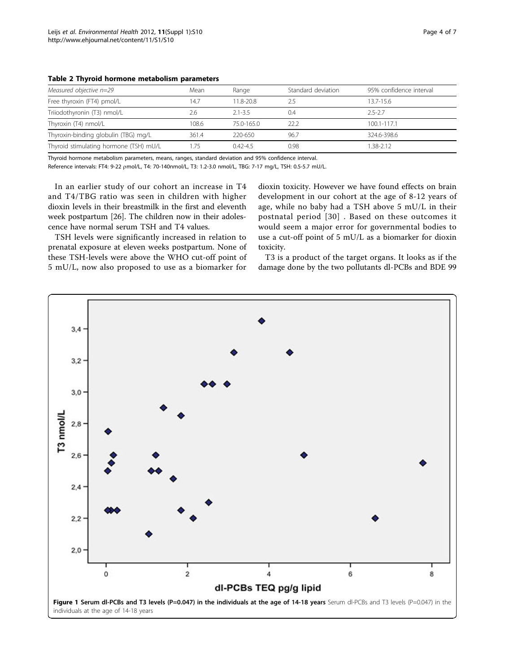| Measured objective n=29                | Mean<br>Range |             | Standard deviation | 95% confidence interval |
|----------------------------------------|---------------|-------------|--------------------|-------------------------|
| Free thyroxin (FT4) pmol/L             | 14.7          | 11.8-20.8   | 2.5                | $13.7 - 15.6$           |
| Triiodothyronin (T3) nmol/L            | 2.6           | $2.1 - 3.5$ | 0.4                | $2.5 - 2.7$             |
| Thyroxin (T4) nmol/L                   | 108.6         | 75.0-165.0  | 22.2               | 100.1-117.1             |
| Thyroxin-binding globulin (TBG) mg/L   | 361.4         | 220-650     | 96.7               | 324.6-398.6             |
| Thyroid stimulating hormone (TSH) mU/L |               | $042 - 45$  | 0.98               | 1.38-2.12               |

<span id="page-3-0"></span>Table 2 Thyroid hormone metabolism parameters

Thyroid hormone metabolism parameters, means, ranges, standard deviation and 95% confidence interval.

Reference intervals: FT4: 9-22 pmol/L, T4: 70-140nmol/L, T3: 1.2-3.0 nmol/L, TBG: 7-17 mg/L, TSH: 0.5-5.7 mU/L.

In an earlier study of our cohort an increase in T4 and T4/TBG ratio was seen in children with higher dioxin levels in their breastmilk in the first and eleventh week postpartum [[26](#page-6-0)]. The children now in their adolescence have normal serum TSH and T4 values.

TSH levels were significantly increased in relation to prenatal exposure at eleven weeks postpartum. None of these TSH-levels were above the WHO cut-off point of 5 mU/L, now also proposed to use as a biomarker for dioxin toxicity. However we have found effects on brain development in our cohort at the age of 8-12 years of age, while no baby had a TSH above 5 mU/L in their postnatal period [[30\]](#page-6-0) . Based on these outcomes it would seem a major error for governmental bodies to use a cut-off point of 5 mU/L as a biomarker for dioxin toxicity.

T3 is a product of the target organs. It looks as if the damage done by the two pollutants dl-PCBs and BDE 99

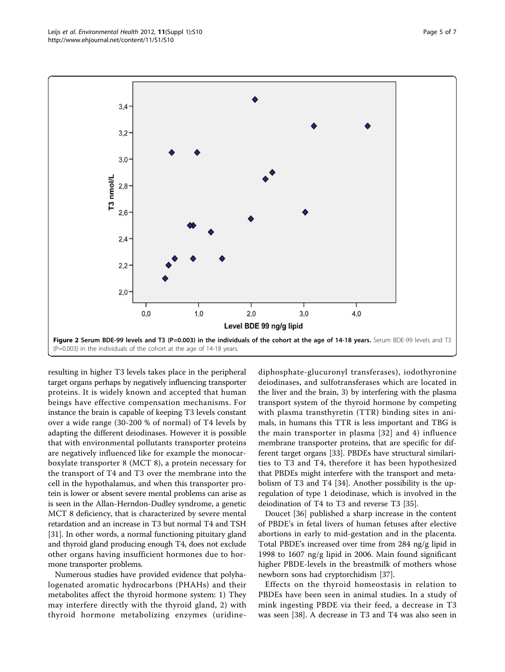<span id="page-4-0"></span>

resulting in higher T3 levels takes place in the peripheral target organs perhaps by negatively influencing transporter proteins. It is widely known and accepted that human beings have effective compensation mechanisms. For instance the brain is capable of keeping T3 levels constant over a wide range (30-200 % of normal) of T4 levels by adapting the different deiodinases. However it is possible that with environmental pollutants transporter proteins are negatively influenced like for example the monocarboxylate transporter 8 (MCT 8), a protein necessary for the transport of T4 and T3 over the membrane into the cell in the hypothalamus, and when this transporter protein is lower or absent severe mental problems can arise as is seen in the Allan-Herndon-Dudley syndrome, a genetic MCT 8 deficiency, that is characterized by severe mental retardation and an increase in T3 but normal T4 and TSH [[31\]](#page-6-0). In other words, a normal functioning pituitary gland and thyroid gland producing enough T4, does not exclude other organs having insufficient hormones due to hormone transporter problems.

Numerous studies have provided evidence that polyhalogenated aromatic hydrocarbons (PHAHs) and their metabolites affect the thyroid hormone system: 1) They may interfere directly with the thyroid gland, 2) with thyroid hormone metabolizing enzymes (uridinediphosphate-glucuronyl transferases), iodothyronine deiodinases, and sulfotransferases which are located in the liver and the brain, 3) by interfering with the plasma transport system of the thyroid hormone by competing with plasma transthyretin (TTR) binding sites in animals, in humans this TTR is less important and TBG is the main transporter in plasma [[32](#page-6-0)] and 4) influence membrane transporter proteins, that are specific for different target organs [[33](#page-6-0)]. PBDEs have structural similarities to T3 and T4, therefore it has been hypothesized that PBDEs might interfere with the transport and metabolism of T3 and T4 [[34\]](#page-6-0). Another possibility is the upregulation of type 1 deiodinase, which is involved in the deiodination of T4 to T3 and reverse T3 [[35](#page-6-0)].

Doucet [\[36\]](#page-6-0) published a sharp increase in the content of PBDE's in fetal livers of human fetuses after elective abortions in early to mid-gestation and in the placenta. Total PBDE's increased over time from 284 ng/g lipid in 1998 to 1607 ng/g lipid in 2006. Main found significant higher PBDE-levels in the breastmilk of mothers whose newborn sons had cryptorchidism [[37\]](#page-6-0).

Effects on the thyroid homeostasis in relation to PBDEs have been seen in animal studies. In a study of mink ingesting PBDE via their feed, a decrease in T3 was seen [\[38](#page-6-0)]. A decrease in T3 and T4 was also seen in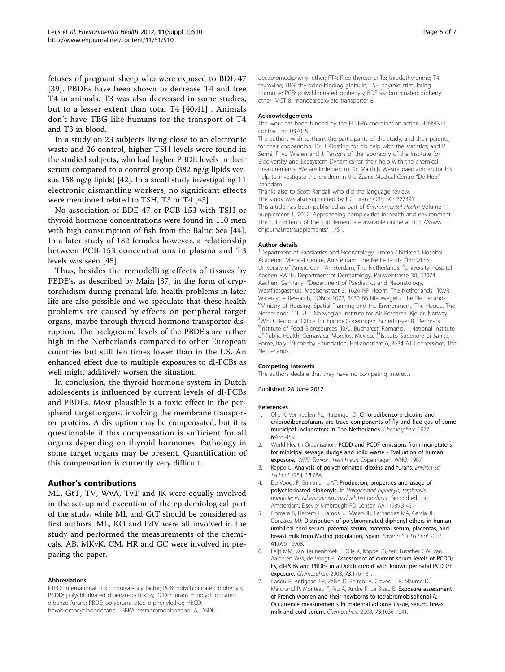<span id="page-5-0"></span>fetuses of pregnant sheep who were exposed to BDE-47 [[39](#page-6-0)]. PBDEs have been shown to decrease T4 and free T4 in animals. T3 was also decreased in some studies, but to a lesser extent than total T4 [[40](#page-6-0),[41](#page-6-0)] . Animals don't have TBG like humans for the transport of T4 and T3 in blood.

In a study on 23 subjects living close to an electronic waste and 26 control, higher TSH levels were found in the studied subjects, who had higher PBDE levels in their serum compared to a control group (382 ng/g lipids versus 158 ng/g lipids) [[42](#page-6-0)]. In a small study investigating 11 electronic dismantling workers, no significant effects were mentioned related to TSH, T3 or T4 [\[43\]](#page-6-0).

No association of BDE-47 or PCB-153 with TSH or thyroid hormone concentrations were found in 110 men with high consumption of fish from the Baltic Sea [[44](#page-6-0)]. In a later study of 182 females however, a relationship between PCB-153 concentrations in plasma and T3 levels was seen [\[45](#page-6-0)].

Thus, besides the remodelling effects of tissues by PBDE's, as described by Main [[37\]](#page-6-0) in the form of cryptorchidism during prenatal life, health problems in later life are also possible and we speculate that these health problems are caused by effects on peripheral target organs, maybe through thyroid hormone transporter disruption. The background levels of the PBDE's are rather high in the Netherlands compared to other European countries but still ten times lower than in the US. An enhanced effect due to multiple exposures to dl-PCBs as well might additively worsen the situation.

In conclusion, the thyroid hormone system in Dutch adolescents is influenced by current levels of dl-PCBs and PBDEs. Most plausible is a toxic effect in the peripheral target organs, involving the membrane transporter proteins. A disruption may be compensated, but it is questionable if this compensation is sufficient for all organs depending on thyroid hormones. Pathology in some target organs may be present. Quantification of this compensation is currently very difficult.

### Author's contributions

ML, GtT, TV, WvA, TvT and JK were equally involved in the set-up and execution of the epidemiological part of the study, while ML and GtT should be considered as first authors. ML, KO and PdV were all involved in the study and performed the measurements of the chemicals. AB, MKvK, CM, HR and GC were involved in preparing the paper.

### Abbreviations

I-TEQ: International Toxic Equivalency factor; PCB: polychlorinated biphenyls; PCDD: polychlorinated dibenzo-p-dioxins; PCDF: furans = polychlorinated dibenzo-furans; PBDE: polybrominated diphenylether; HBCD: hexabromocyclododecane; TBBPA: tetrabromobisphenol A; DBDE:

decabromodiphenyl ether; FT4: Free thyroxine; T3: triiodothyronine; T4: thyroxine; TBG: thyroxine-binding globulin; TSH: thyroid stimulating hormone; PCB: polychlorinated biphenyls; BDE 99: brominated diphenyl ether; MCT 8: monocarboxylate transporter 8

#### Acknowledgements

The work has been funded by the EU FP6 coordination action HENVINET, contract no 037019.

The authors wish to thank the participants of the study, and their parents, for their cooperation; Dr. J. Oosting for his help with the statistics; and P. Serné, F. vd Wielen and J. Parsons of the laboratory of the Institute for Biodiversity and Ecosystem Dynamics for their help with the chemical measurements. We are indebted to Dr. Matthijs Westra paediatrician for his help to investigate the children in the Zaans Medical Centre "De Heel" Zaandam.

Thanks also to Scott Randall who did the language review. The study was also supported by E.C. grant: OBELIX : 227391 This article has been published as part of Environmental Health Volume 11 Supplement 1, 2012: Approaching complexities in health and environment. The full contents of the supplement are available online at [http://www.](http://www.ehjournal.net/supplements/11/S1) [ehjournal.net/supplements/11/S1](http://www.ehjournal.net/supplements/11/S1).

#### Author details

<sup>1</sup>Department of Paediatrics and Neonatology, Emma Children's Hospital Academic Medical Centre, Amsterdam, The Netherlands. <sup>2</sup>IBED/ESS University of Amsterdam, Amsterdam, The Netherlands. <sup>3</sup>University Hospital Aachen RWTH, Department of Dermatology, Pauwelstrasse 30, 52074 Aachen, Germany. <sup>4</sup>Department of Paediatrics and Neonatology, Westfriesgasthuis, Maelsonstraat 3, 1624 NP Hoorn, The Netherlands. <sup>5</sup>KWR Watercycle Research, POBox 1072, 3430 BB Nieuwegein, The Netherlands. <sup>6</sup>Ministry of Housing, Spatial Planning and the Environment, The Hague, The Netherlands. <sup>7</sup>NILU – Norwegian Institute for Air Research, Kjeller, Norway.<br><sup>8</sup>WHO, Bogianal Office for Europe Conception Scherfignei 8, Donmark. <sup>8</sup>WHO, Regional Office for Europe, Copenhgen, Scherfigsvej 8, Denmark. <sup>9</sup>Institute of Food Bioresources (IBA), Bucharest, Romania. <sup>10</sup>National Institute of Public Health, Cernavaca, Morelos, Mexico. <sup>11</sup>Istituto Superiore di Sanita, Rome, Italy. <sup>12</sup>Ecobaby Foundation, Hollandstraat 6, 3634 AT Loenersloot, The Netherlands.

#### Competing interests

The authors declare that they have no competing interests.

Published: 28 June 2012

#### References

- 1. Olie K, Vermeulen PL, Hutzinger O: Chlorodibenzo-p-dioxins and chlorodibenzofurans are trace components of fly and flue gas of some municipal incinerators in The Netherlands. Chemosphere 1977, 6:455-459.
- 2. World Health Organisation: PCDD and PCDF emissions from incinetators for minicipal sewage sludge and solid waste - Evaluation of human exposure,. WHO Environ. Health edn Copenhagen: WHO; 1987.
- 3. Rappe C: [Analysis of polychlorinated dioxins and furans.](http://www.ncbi.nlm.nih.gov/pubmed/22657549?dopt=Abstract) Environ Sci Technol 1984, 18:78A.
- 4. De Voogt P, Brinkman UAT: Production, properties and usage of polychlorinated biphenyls. In Halogenated biphenyls, terphenyls, naphtalenes, dibenzodioxins and related products.. Second edition. Amsterdam: Elsevier;Kimbrough RD, Jensen AA 1989:3-45.
- 5. Gomara B, Herrero L, Ramos JJ, Mateo JR, Fernandez MA, Garcia JF, González MJ: [Distribution of polybrominated diphenyl ethers in human](http://www.ncbi.nlm.nih.gov/pubmed/17993135?dopt=Abstract) [umbilical cord serum, paternal serum, maternal serum, placentas, and](http://www.ncbi.nlm.nih.gov/pubmed/17993135?dopt=Abstract) [breast milk from Madrid population, Spain.](http://www.ncbi.nlm.nih.gov/pubmed/17993135?dopt=Abstract) Environ Sci Technol 2007, 41:6961-6968.
- 6. Leijs MM, van Teunenbroek T, Olie K, Koppe JG, ten Tusscher GW, van Aalderen WM, de Voogt P: [Assessment of current serum levels of PCDD/](http://www.ncbi.nlm.nih.gov/pubmed/18599107?dopt=Abstract) [Fs, dl-PCBs and PBDEs in a Dutch cohort with known perinatal PCDD/F](http://www.ncbi.nlm.nih.gov/pubmed/18599107?dopt=Abstract) [exposure.](http://www.ncbi.nlm.nih.gov/pubmed/18599107?dopt=Abstract) Chemosphere 2008, 73:176-181.
- 7. Cariou R, Antignac J-P, Zalko D, Berrebi A, Cravedi J-P, Maume D, Marchand P, Monteau F, Riu A, Andre F, Le Bizec B: [Exposure assessment](http://www.ncbi.nlm.nih.gov/pubmed/18790516?dopt=Abstract) [of French women and their newborns to tetrabromobisphenol-A:](http://www.ncbi.nlm.nih.gov/pubmed/18790516?dopt=Abstract) [Occurrence measurements in maternal adipose tissue, serum, breast](http://www.ncbi.nlm.nih.gov/pubmed/18790516?dopt=Abstract) [milk and cord serum.](http://www.ncbi.nlm.nih.gov/pubmed/18790516?dopt=Abstract) Chemosphere 2008, 73:1036-1041.